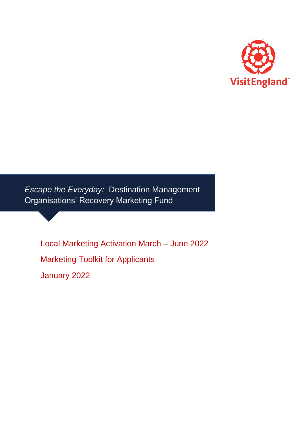

*Escape the Everyday:* Destination Management Organisations' Recovery Marketing Fund

Local Marketing Activation March – June 2022 Marketing Toolkit for Applicants January 2022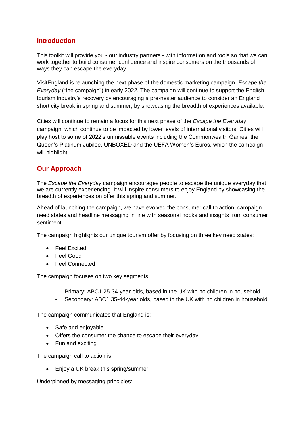#### **Introduction**

This toolkit will provide you - our industry partners - with information and tools so that we can work together to build consumer confidence and inspire consumers on the thousands of ways they can escape the everyday.

 tourism industry's recovery by encouraging a pre-nester audience to consider an England VisitEngland is relaunching the next phase of the domestic marketing campaign, *Escape the Everyday* ("the campaign") in early 2022*.* The campaign will continue to support the English short city break in spring and summer, by showcasing the breadth of experiences available.

 play host to some of 2022's unmissable events including the Commonwealth Games, the Queen's Platinum Jubilee, UNBOXED and the UEFA Women's Euros, which the campaign Cities will continue to remain a focus for this next phase of the *Escape the Everyday*  campaign, which continue to be impacted by lower levels of international visitors. Cities will will highlight.

### **Our Approach**

The *Escape the Everyday* campaign encourages people to escape the unique everyday that we are currently experiencing. It will inspire consumers to enjoy England by showcasing the breadth of experiences on offer this spring and summer.

Ahead of launching the campaign, we have evolved the consumer call to action, campaign need states and headline messaging in line with seasonal hooks and insights from consumer sentiment.

The campaign highlights our unique tourism offer by focusing on three key need states:

- Feel Excited
- Feel Good
- Feel Connected

The campaign focuses on two key segments:

- Primary: ABC1 25-34-year-olds, based in the UK with no children in household
- Secondary: ABC1 35-44-year olds, based in the UK with no children in household

The campaign communicates that England is:

- Safe and enjoyable
- Offers the consumer the chance to escape their everyday
- Fun and exciting

The campaign call to action is:

• Enjoy a UK break this spring/summer

Underpinned by messaging principles: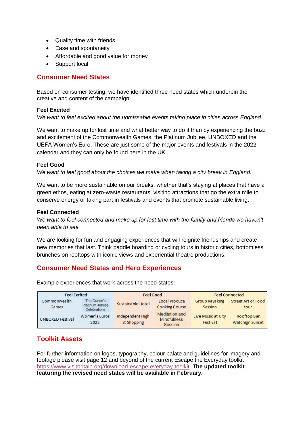- Quality time with friends
- Ease and spontaneity
- Affordable and good value for money
- Support local

#### **Consumer Need States**

Based on consumer testing, we have identified three need states which underpin the creative and content of the campaign.

#### **Feel Excited**

*We want to feel excited about the unmissable events taking place in cities across England.* 

 UEFA Women's Euro. These are just some of the major events and festivals in the 2022 We want to make up for lost time and what better way to do it than by experiencing the buzz and excitement of the Commonwealth Games, the Platinum Jubilee, UNBOXED and the calendar and they can only be found here in the UK.

#### **Feel Good**

We want to feel good about the choices we make when taking a city break in England.

 We want to be more sustainable on our breaks, whether that's staying at places that have a green ethos, eating at zero-waste restaurants, visiting attractions that go the extra mile to conserve energy or taking part in festivals and events that promote sustainable living.

#### **Feel Connected**

 *We want to feel connected and make up for lost time with the family and friends we haven't been able to see.* 

We are looking for fun and engaging experiences that will reignite friendships and create new memories that last. Think paddle boarding or cycling tours in historic cities, bottomless brunches on rooftops with iconic views and experiential theatre productions.

### **Consumer Need States and Hero Experiences**

Feel Excited Commonwealth Games UNBOXED Festival The Queen's Platinum Jubilee Celebrations Women's Euros Hndependent High Feel Good Susta inable Hotel Local Pro duce Cooking Course Meditation and Mindfulness Feel Co nnected Group Kayaking Street Art or Food Session tour Live Music at City Rooftop Bar

st Shopping

Example experiences that work across the need states:

2022

### **Toolkit Assets**

For further information on logos, typography, colour palate and guidelines for imagery and footage please visit page 12 and beyond of the current Escape the Everyday toolkit [https://www.visitbritain.org/download-escape-everyday-toolkit.](https://www.visitbritain.org/download-escape-everyday-toolkit) **The updated toolkit featuring the revised need states will be available in February.** 

Session

Festival Watchign Sunset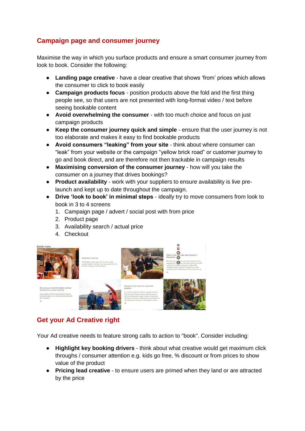# **Campaign page and consumer journey**

Maximise the way in which you surface products and ensure a smart consumer journey from look to book. Consider the following:

- **Landing page creative**  have a clear creative that shows 'from' prices which allows the consumer to click to book easily
- **Campaign products focus**  position products above the fold and the first thing people see, so that users are not presented with long-format video / text before seeing bookable content
- **Avoid overwhelming the consumer**  with too much choice and focus on just campaign products
- **Keep the consumer journey quick and simple**  ensure that the user journey is not too elaborate and makes it easy to find bookable products
- "leak" from your website or the campaign "yellow brick road" or customer journey to ● **Avoid consumers "leaking" from your site** - think about where consumer can go and book direct, and are therefore not then trackable in campaign results
- **Maximising conversion of the consumer journey**  how will you take the consumer on a journey that drives bookings?
- **Product availability**  work with your suppliers to ensure availability is live prelaunch and kept up to date throughout the campaign.
- ● **Drive 'look to book' in minimal steps** ideally try to move consumers from look to book in 3 to 4 screens
	- 1. Campaign page / advert / social post with from price
	- 2. Product page
	- 3. Availability search / actual price
	- 4. Checkout



# **Get your Ad Creative right**

Your Ad creative needs to feature strong calls to action to "book". Consider including:

- **Highlight key booking drivers**  think about what creative would get maximum click throughs / consumer attention e.g. kids go free, % discount or from prices to show value of the product
- **Pricing lead creative**  to ensure users are primed when they land or are attracted by the price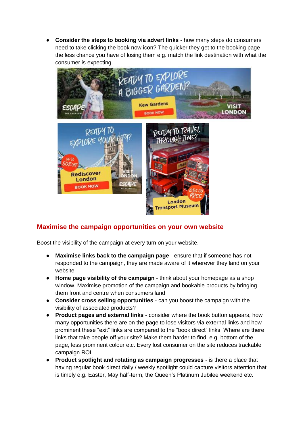**Consider the steps to booking via advert links - how many steps do consumers** need to take clicking the book now icon? The quicker they get to the booking page the less chance you have of losing them e.g. match the link destination with what the consumer is expecting.



# **Maximise the campaign opportunities on your own website**

Boost the visibility of the campaign at every turn on your website.

- **Maximise links back to the campaign page**  ensure that if someone has not responded to the campaign, they are made aware of it wherever they land on your website
- **Home page visibility of the campaign**  think about your homepage as a shop window. Maximise promotion of the campaign and bookable products by bringing them front and centre when consumers land
- **Consider cross selling opportunities**  can you boost the campaign with the visibility of associated products?
- prominent these "exit" links are compared to the "book direct" links. Where are there ● **Product pages and external links** - consider where the book button appears, how many opportunities there are on the page to lose visitors via external links and how links that take people off your site? Make them harder to find, e.g. bottom of the page, less prominent colour etc. Every lost consumer on the site reduces trackable campaign ROI
- is timely e.g. Easter, May half-term, the Queen's Platinum Jubilee weekend etc.**Product spotlight and rotating as campaign progresses** - is there a place that having regular book direct daily / weekly spotlight could capture visitors attention that